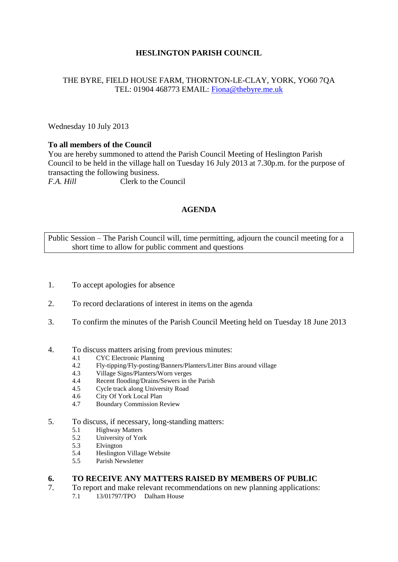## **HESLINGTON PARISH COUNCIL**

### THE BYRE, FIELD HOUSE FARM, THORNTON-LE-CLAY, YORK, YO60 7QA TEL: 01904 468773 EMAIL: [Fiona@thebyre.me.uk](mailto:Fiona@thebyre.me.uk)

Wednesday 10 July 2013

### **To all members of the Council**

You are hereby summoned to attend the Parish Council Meeting of Heslington Parish Council to be held in the village hall on Tuesday 16 July 2013 at 7.30p.m. for the purpose of transacting the following business. *F.A. Hill* Clerk to the Council

### **AGENDA**

Public Session – The Parish Council will, time permitting, adjourn the council meeting for a short time to allow for public comment and questions

- 1. To accept apologies for absence
- 2. To record declarations of interest in items on the agenda
- 3. To confirm the minutes of the Parish Council Meeting held on Tuesday 18 June 2013
- 4. To discuss matters arising from previous minutes:
	- 4.1 CYC Electronic Planning
	- 4.2 Fly-tipping/Fly-posting/Banners/Planters/Litter Bins around village
	- 4.3 Village Signs/Planters/Worn verges
	- 4.4 Recent flooding/Drains/Sewers in the Parish
	- 4.5 Cycle track along University Road
	- 4.6 City Of York Local Plan
	- 4.7 Boundary Commission Review
- 5. To discuss, if necessary, long-standing matters:
	- 5.1 Highway Matters<br>5.2 University of Yor
	- University of York
	- 5.3 Elvington
	- 5.4 Heslington Village Website
	- 5.5 Parish Newsletter

#### **6. TO RECEIVE ANY MATTERS RAISED BY MEMBERS OF PUBLIC**

- 7. To report and make relevant recommendations on new planning applications:
	- 7.1 13/01797/TPO Dalham House